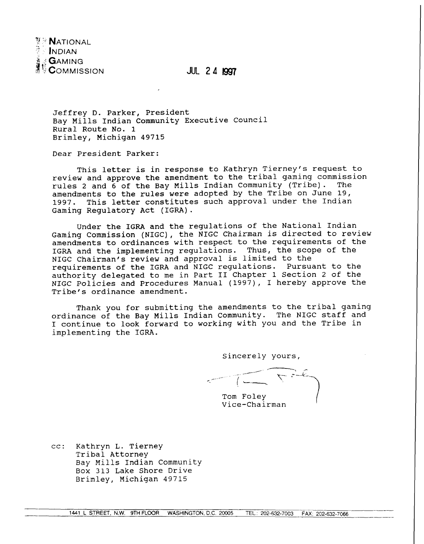

JUL **24** 

Jeffrey D. Parker, President Bay Mills Indian Community Executive Council Rural Route No. 1 Brimley, Michigan 49715

Dear President Parker:

This letter is in response to Kathryn Tierney's request to review and approve the amendment to the tribal gaming commission<br>rules 2 and 6 of the Bay Mills Indian Community (Tribe). The rules 2 and 6 of the Bay Mills Indian Community (Tribe). amendments to the rules were adopted by the Tribe on June 19, 1997. This letter constitutes such approval under the Indian Gaming Regulatory Act (IGRA).

Under the IGRA and the regulations of the National Indian Gaming Commission (NIGC), the NIGC Chairman is directed to review amendments to ordinances with respect to the requirements of the IGRA and the implementing regulations. Thus, the scope of the NIGC Chairman's review and approval is limited to the requirements of the IGRA and NIGC regulations. Pursuant to the authority delegated to me in Part I1 Chapter 1 Section 2 of the NIGC Policies and Procedures Manual (1997), I hereby approve the Tribe's ordinance amendment.

Thank you for submitting the amendments to the tribal gaming ordinance of the Bay Mills Indian Community. The NIGC staff and I continue to look forward to working with you and the Tribe in implementing the IGRA.

Sincerely yours,

Tom Foley Vice-Chairman

cc: Kathryn L. Tierney Tribal Attorney Bay Mills Indian Community Box 313 Lake Shore Drive Brimley, Michigan 49715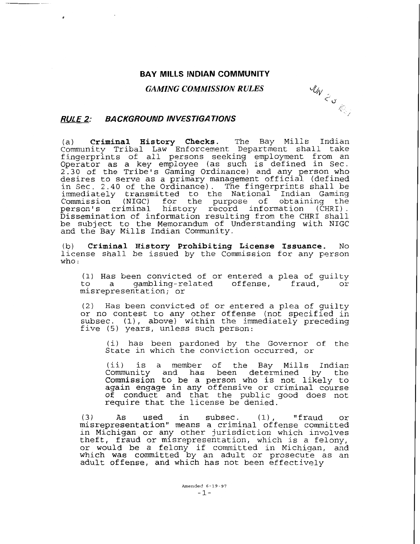#### **BAY MILLS INDIAN COMMUNITY**

#### *GAMING COMMISSION RULES*

**MW 2 S Read** 

### **RULE 2: BACKGROUND INVESTIGA TIONS**

(a) **Criminal History Checks.** The Bay Mills Indian a, Criminal History Cheens: The Bay Allis Indian<br>Community Tribal Law Enforcement Department shall take fingerprints of all persons seeking employment from an Operator as a key employee (as such is defined in Sec. 2.30 of the Tribe's Gaming Ordinance) and any person who desires to serve as a primary management official (defined in Sec. 2.40 of the Ordinance). The fingerprints shall be im Sec. 2:40 Of the Staffiance, The Fingerprints Shaff Sec.<br>Indian Gaming Commission (NIGC) for the purpose of obtaining the person's criminal history record information (CHRI) . Dissemination of information resulting from the CHRI shall be subject to the Memorandum of Understanding with NIGC and the Bay Mills Indian Community.

(b) **Criminal History Prohibiting License Issuance.** No by **criminal history rronisting ditemse issuance.** No<br>icense shall be issued by the Commission for any person no:<br>steen

(1) Has been convicted of or entered a plea of guilty to a gambling-related offense, fraud, or misrepresentation; or

(2) Has been convicted of or entered a plea of guilty or no contest to any other offense (not specified in subsec. (1), above) within the immediately preceding five (5) years, unless such person:

i) has been pardoned by the Governor of the I, has been pardoned by the Governor of<br>Itate in which the conviction occurred, or

(ii) is a member of the Bay Mills Indian Community and has been determined by the Commission to be a person who is not likely to ommission to be a person who is not fikery to<br>gain engage in any offensive or criminal course gain engage in any offensive of criminal course<br>of conduct and that the public good does not require that the license be denied.

**(3)** As used in subsec. (1) , "fraud or misrepresentation" means a criminal offense committed in Michigan or any other jurisdiction which involves theft, fraud or misrepresentation, which is a felony, or would be a felony if committed in Michigan, and which was committed by an adult or prosecute as an nich was committed by an addit of prosecute as<br>dult offense, and which has not been effectively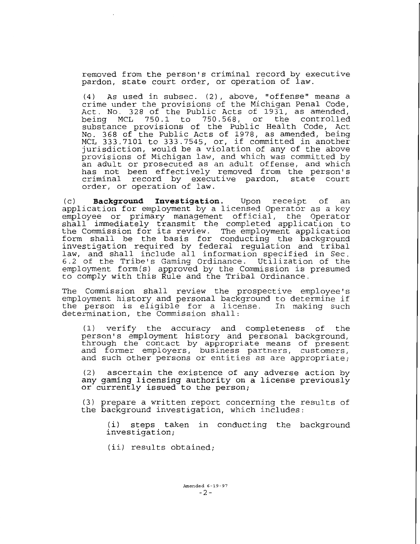removed from the person's criminal record by executive pardon, state court order, or operation of law.

(4) As used in subsec. (2), above, "offense" means a crime under the provisions of the Michigan Penal Code, Act. No. 328 of the Public Acts of 1931, as amended, being MCL 750.1 to 750.568, or the controlled substance provisions of the Public Health Code, Act No. 368 of the Public Acts of 1978, as amended, being MCL 333.7101 to 333.7545, or, if committed in another jurisdiction, would be a violation of any of the above provisions of Michigan law, and which was committed by an adult or prosecuted as an adult offense, and which has not been effectively removed from the person's criminal record by executive pardon, state court order, or operation of law.

(c) **Background Investigation.** Upon receipt of an application for employment by a licensed Operator as a key employee or primary management official, the Operator shall immediately transmit the completed application to the Commission for its review. The employment application form shall be the basis for conducting the background investigation required by federal regulation and tribal law, and shall include all information specified in Sec. 6.2 of the Tribe's Gaming Ordinance. Utilization of the employment form(s) approved by the Commission is presumed to comply with this Rule and the Tribal Ordinance.

The Commission shall review the prospective employee's employment history and personal background to determine if the person is eligible for a license. In making such determination, the Commission shall:

(1) verify the accuracy and completeness of the person's employment history and personal background, through the contact by appropriate means of present and former employers, business partners, customers, and such other persons or entities as are appropriate;

2) ascertain the existence of any adverse action by any deserted in the christened of any daverse attent by or currently issued to the person;

(3) prepare a written report concerning the results of the background investigation, which includes:

(i) steps taken in conducting the background investigation;

(ii) results obtained;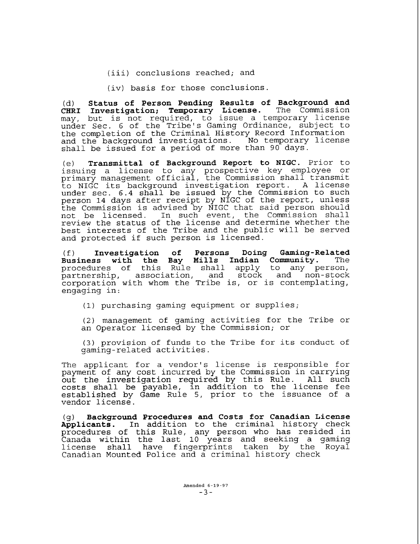(iii) conclusions reached; and

(iv) basis for those conclusions.

(d) **Status of Person Pending Results of Background and**  Investigation; Temporary License. may, but is not required, to issue a temporary license under Sec. 6 of the Tribe's Gaming Ordinance, subject to the completion of the Criminal History Record Information and the background investigations. No temporary license shall be issued for a period of more than 90 days.

(e) **Transmittal of Background Report to NIGC.** Prior to issuing a license to any prospective key employee or primary management official, the Commission shall transmit to NIGC its background investigation report. A license under sec. 6.4 shall be issued by the Commission to such person 14 days after receipt by NIGC of the report, unless the Commission is advised by NIGC that said person should not be licensed. In such event, the Commission shall review the status of the license and determine whether the best interests of the Tribe and the public will be served and protected if such person is licensed.

(f) **Investigation of Persons Doing Gaming-Related Business with the Bay Mills Indian Community.** The procedures of this Rule shall apply to any person, partnership, association, and stock and non-stock corporation with whom the Tribe is, or is contemplating, engaging in:

(1) purchasing gaming equipment or supplies;

(2) management of gaming activities for the Tribe or an Operator licensed by the Commission; or

(3) provision of funds to the Tribe for its conduct of gaming-related activities.

The applicant for a vendor's license is responsible for payment of any cost incurred by the Commission in carrying out the investigation required by this Rule. All such costs shall be  $\bar{p}$ ayable,  $\bar{1}n$  addit $\bar{1}$ on to the license fee established by Game Rule 5, prior to the issuance of a vendor license.

(g) **Background Procedures and Costs for Canadian License Applicants.** In addition to the criminal history check procedures of this Rule, any person who has resided in Canada within the last 10 years and seeking a gaming license shall have fingerprints taken by the Royal Canadian Mounted Police and a criminal history check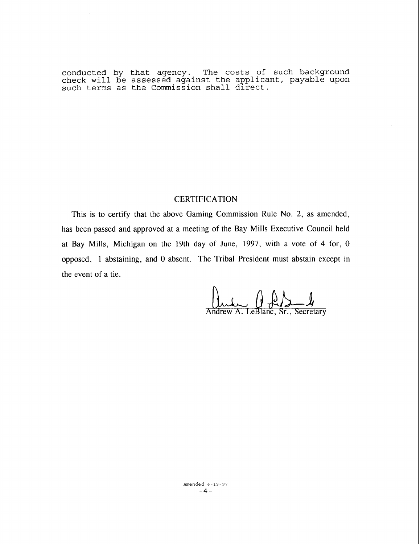conducted by that agency. The costs of such background check will be assessed against the applicant, payable upon such terms as the Commission shall direct.

# **CERTIFICATION**

This is to certify that the above Gaming Commission Rule No. 2, as amended, has been passed and approved at a meeting of the Bay Mills Executive Council held at Bay Mills, Michigan on the 19th day of June, 1997, with a vote of 4 for, 0 opposed, 1 abstaining, and 0 absent. The Tribal President must abstain except in the event of a tie.

in Add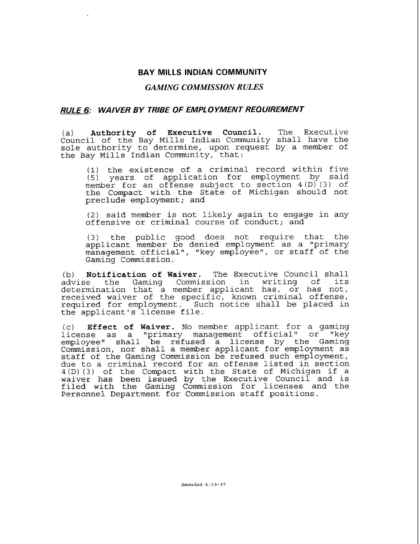### **BAY MILLS INDIAN COMMUNITY**

### *GAMING COMMISSION RULES*

## **RULE 6: WAIVER BY TRIBE OF EMPL 0 YMENT REQUIREMENT**

(a) **Authority of Executive Council.** The Executive Council of the Bay Mills Indian Community shall have the sole authority to determine, upon request by a member of the Bay Mills Indian Community, that:

1) the existence of a criminal record within five 5) years of application for employment by said member for an offense subject to section 4 **(D)** (3) of the Compact with the State of Michigan should not preclude employment; and

(2) said member is not likely again to engage in any offensive or criminal course of conduct; and

(3) the public good does not require that the applicant member be denied employment as a "primary management official", "key employee", or staff of the Gaming Commission.

(b) **Notification of Waiver.** The Executive Council shall the Gaming Commission in writing of determination that a member applicant has, or has not, received waiver of the specific, known criminal offense, required for employment. Such notice shall be placed in the applicant's license file.

(c) **Effect of Waiver.** No member applicant for a gaming license as a "primary management official" or "key employee" shall be refused a license by the Gaming Commission, nor shall a member applicant for employment as staff of the Gaming Commission be refused such employment, due to a criminal record for an offense listed in section 4(D) (3) of the Compact with the State of Michigan if a waiver has been issued by the Executive Council and is filed with the Gaming Commission for licenses and the Personnel Department for Commission staff positions.